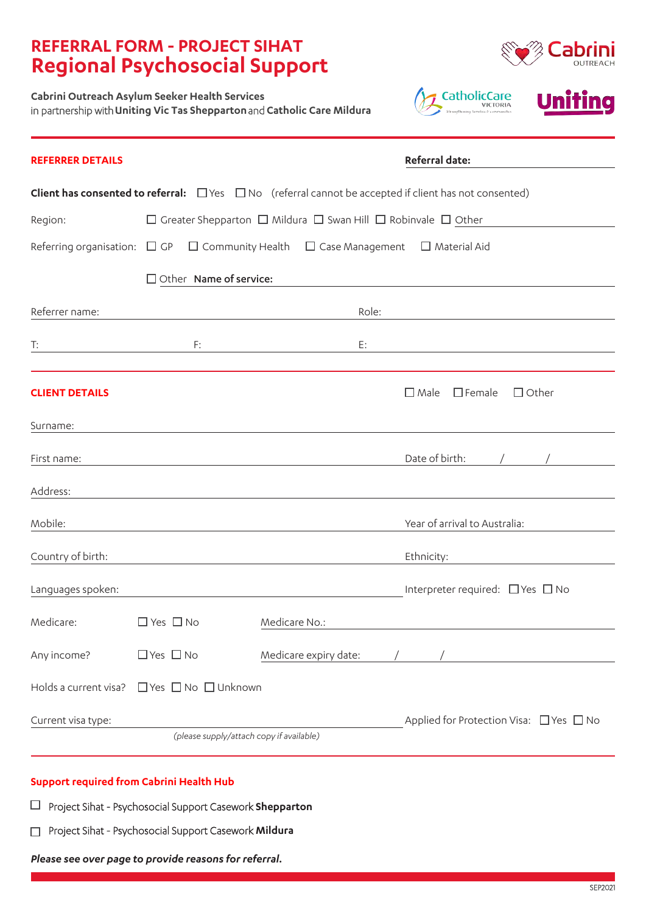## **REFERRAL FORM - PROJECT SIHAT Regional Psychosocial Support**



**Cabrini Outreach Asylum Seeker Health Services** in partnership with **Uniting Vic Tas Shepparton** and **Catholic Care Mildura**



| <b>REFERRER DETAILS</b>                                                                                                 |                      |                                                                                         |               | Referral date:        |       |                                                   |  |
|-------------------------------------------------------------------------------------------------------------------------|----------------------|-----------------------------------------------------------------------------------------|---------------|-----------------------|-------|---------------------------------------------------|--|
| <b>Client has consented to referral:</b> $\Box$ Yes $\Box$ No (referral cannot be accepted if client has not consented) |                      |                                                                                         |               |                       |       |                                                   |  |
| Region:                                                                                                                 |                      | $\Box$ Greater Shepparton $\Box$ Mildura $\Box$ Swan Hill $\Box$ Robinvale $\Box$ Other |               |                       |       |                                                   |  |
| Referring organisation: $\Box$ GP $\Box$ Community Health $\Box$ Case Management $\Box$ Material Aid                    |                      |                                                                                         |               |                       |       |                                                   |  |
|                                                                                                                         |                      | $\Box$ Other Name of service:                                                           |               |                       |       |                                                   |  |
| Referrer name:                                                                                                          |                      |                                                                                         |               |                       | Role: |                                                   |  |
| T:                                                                                                                      |                      | F:                                                                                      |               | E:                    |       |                                                   |  |
|                                                                                                                         |                      |                                                                                         |               |                       |       |                                                   |  |
| <b>CLIENT DETAILS</b>                                                                                                   |                      |                                                                                         |               |                       |       | $\Box$ Male<br>$\Box$ Female<br>$\Box$ Other      |  |
| Surname:                                                                                                                |                      |                                                                                         |               |                       |       |                                                   |  |
| First name:                                                                                                             |                      |                                                                                         |               |                       |       | Date of birth:                                    |  |
| Address:                                                                                                                |                      |                                                                                         |               |                       |       |                                                   |  |
| Mobile:                                                                                                                 |                      |                                                                                         |               |                       |       | Year of arrival to Australia:                     |  |
| Country of birth:                                                                                                       |                      |                                                                                         |               |                       |       | Ethnicity:                                        |  |
| Languages spoken:                                                                                                       |                      |                                                                                         |               |                       |       | Interpreter required: $\Box$ Yes $\Box$ No        |  |
| Medicare:                                                                                                               | $\Box$ Yes $\Box$ No |                                                                                         | Medicare No.: |                       |       |                                                   |  |
| Any income?                                                                                                             | $\Box$ Yes $\Box$ No |                                                                                         |               | Medicare expiry date: |       |                                                   |  |
| Holds a current visa?                                                                                                   |                      | □Yes □ No □ Unknown                                                                     |               |                       |       |                                                   |  |
| Current visa type:                                                                                                      |                      |                                                                                         |               |                       |       | Applied for Protection Visa: $\Box$ Yes $\Box$ No |  |
| (please supply/attach copy if available)                                                                                |                      |                                                                                         |               |                       |       |                                                   |  |

#### **Support required from Cabrini Health Hub**

Project Sihat - Psychosocial Support Casework **Shepparton**

Project Sihat - Psychosocial Support Casework **Mildura** 

*Please see over page to provide reasons for referral.*